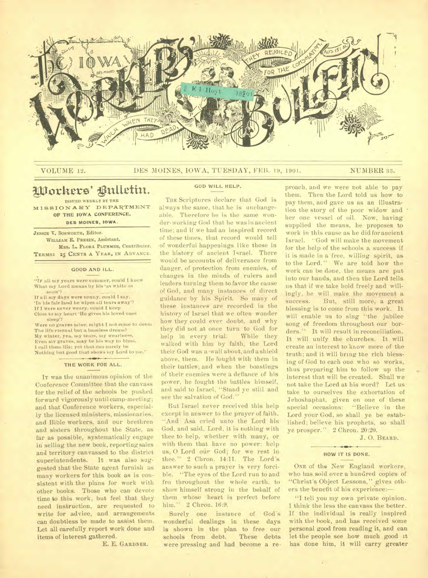

## VOLUME 12. DES MOINES, IOWA, TUESDAY, FEB. 19, 1901. NUMBER 33.

# Workers' Bulletin.

**ISSUED WEEKLY. BY THE**  MISSIONARY DEPARTMENT OF THE IOWA CONFERENCE,

**DES MOINES, IOWA.** 

**JESSIE V. BOSWORTH.** Editor. **WILLIAM** E. **PERRIN,** Assistant. **MRS.** L. **FLORA PLUSHER,** Contributor. **TERMS: 25 CENTS A YEAR, IN ADVANCE.** 

#### GOOD AND ILL.

"IF all my years were summer, could I know What my Lord means by his • **as** white as snow'?

If all my days were sunny, could I say. 'In his fair land he wipes all tears away'? If I were never weary, could I keep'

Close to my heart 'He gives his loved ones

sleep'? Were no graves mine. might I not come to deem The life eternal but a baseless dream? My winter, yea, my tears, my weariness, Even my graves, may be his way to bless. I call them ills; yet that can surely be Nothing but good that shows my Lord to me."

#### THE WORK FOR ALL.

IT was the unanimous opinion of the Conference Committee that the canvass for the relief of the schools be pushed forward vigorously until camp-meeting; and that Conference workers, especially the licensed ministers, missionaries, and Bible workers, and our brethren and sisters throughout the State, as far as possible, systematically engage in selling the new book, reporting sales and territory canvassed to the district superintendents. It was also suggested that the State agent furnish as many workers for this book as is consistent with the plans for work with other books. Those who can devote time to this work, but feel that they need instruction, are requested to write for advice, and arrangements can doubtless be made to assist them. Let all carefully report work done and items of interest gathered.

E. E. GARDNER.

**GOD WILL HELP.** 

THE Scriptures declare that God is always the same, that he is unchangeable. Therefore he is the same wonder-working God that he was in ancient time; and if we had an inspired record of these times, that record would tell of wonderful happenings like those in the history of ancient Israel. There would be accounts of deliverance from danger, of protection from enemies, of changes in the minds of rulers and leaders turning them to favor the cause of God, and many instances of direct guidance by his Spirit. So many of these instances are recorded in the history of Israel that we often wonder how they could ever doubt, and why they did not at once turn to God for<br>help in every trial. While they help in every trial. walked with him by faith, the Lord their God was a 'wall about, and a shield above, them. He fought with them in their battles; and when the boastings of their enemies were a defiance of his power, he fought the battles himself, and said to Israel, "Stand ye still and see the salvation of God."

But Israel never received this help except in answer to the prayer of faith. "And Asa cried unto the Lord his God, and said, Lord, it is nothing with thee to help, whether with many, or with them that have no power: help us, 0 Lord our God; for we rest in thee." 2 Chron. 14:11. The Lord's answer to such a prayer is, very forcible. "The eyes of the Lord run to and fro throughout the whole earth, to show himself strong in the behalf of them whose heart is perfect before him." 2 Chron. 16:9.

Surely one instance of God's wonderful dealings in these days is shown in the plan to free our<br>schools from debt. These debts schools from debt. were pressing and had become a rethem. Then the Lord told us how to pay them, and gave us as an illustration the story of the poor widow and her one vessel of oil. Now, having supplied the means, he proposes to work in this cause as he did for ancient Israel. "God will make the movement for the help of the schools a success if it is made in a free, willing spirit, as to the Lord." We are told how the work can be done, the means are put into our hands, and then the Lord tells us that if we take hold freely and willingly, he will make the movement a success. But, still more, a great But, still more, a great blessing is to come from this work. It will enable us to sing "the jubilee song of freedom throughout our borders." It will result in reconciliation. It will unify the churches. It will create an interest to know more of the truth; and it will bring the rich blessing of God to each one who so works, thus preparing him to follow up the interest that will be created. Shall we not take the Lord at his word? Let us take to ourselves the exhortation of Jehoshaphat, given on one of these special occasions: "Believe in the Lord your God, so shall ye be established; believe his prophets, so shall ye prosper." 2 Chron. 20:20.

proach, and we were not able to pay

J. 0. BEARD.

## **HOW IT IS DONE.**

ONE of the New England workers, who has sold over a hundred copies of "Christ's Object Lessons," gives others the benefit of his experience:—

"I tell you my own private opinion. I think the less the canvass the better. If the individual is really inspired with the hook, and has received some personal good from reading it, and can let the people see how much good it has done him, it will carry greater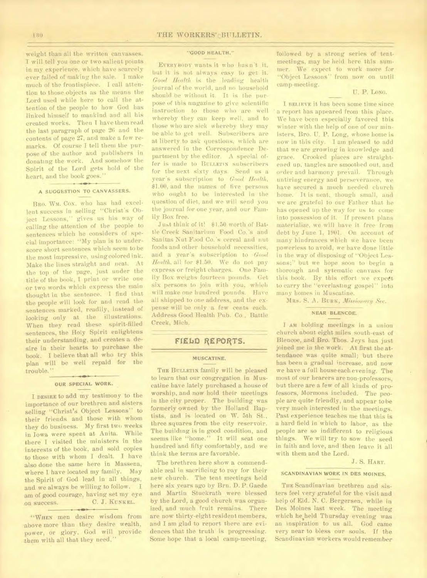weight than all the written canvasses. will tell you one or two salient points in my experience. which have scarcely .ever failed of making the sale. I make much of the frontispiece. I call attention to those objects as the means the Lord used while here to call the attention of the people to how God has linked himself to mankind and all his created works. Then I have them read the last paragraph of page 26 and the contents of page 27, and make a few remarks. Of course I tell them the purpose of the author and publishers in donating the work. And somehow the Spirit of the Lord gets hold of the heart, and the book goes."

#### **A SUGGESTION TO CANVASSERS.**

BRO. WM. Cox, who has had excellent success in selling "Christ's Object Lessons," gives us his way of calling the attention of the people to sentences which he considers of special importance: "My plan is to underscore short sentences which seem to be the most impressive, using colored ink. Make the lines straight and neat. At the top of the page, just under the title of the book, I print or write one or two words which express the main thought in the sentence. I find that the people will look for and read the sentences marked, readily, instead of looking only at the illustrations. When they read these spirit-filled sentences, the Holy Spirit enlightens their understanding, and creates a desire in their hearts to purchase the book. I believe that all who try this plan will be well repaid for the trouble."

#### **OUR SPECIAL WORK.**

I **DESIRE** to add my testimony to the importance of our brethren and sisters selling "Christ's Object Lessons" to their friends and those with whom they do business. My first two weeks in Iowa were spent at Anita. While there I visited the ministers in the interests of the book, and sold copies to those with whom I dealt. I have also done the same here in Massena, where I have located my family. May the Spirit of God lead in all things, and we always be willing to follow. I am of good courage, having set my eye on success. C. J. KUNKEL.

'WHEN men desire wisdom from above more than they desire wealth, power, or glory, God will provide them with all that they need,"

## **"GOOD HEALTH."**

EVERYBODY wants it who hasn't it, but it is not always easy to get it. *Good Health* is the leading health journal of the world, and no household should be without it. It is the purpose of this magazine to give scientific instruction to those who are well whereby they can keep well, and to those who are sick whereby they may be able to get well. Subscribers are at liberty to ask questions, which are answered in the Correspondence Department by the editor. A special offer is made to BULLETIN subscribers for the next sixty days. Send us a year's subscription to *Good Health,*  \$1.00, and the names of five persons who ought to be interested in the question of diet, and we will send you the journal for one year, and our Family Box free.

Just think of it! \$1.50 worth of Battle Creek Sanitarium Food Co.'s and Sanitas Nut Food Co.'s cereal and nut foods and other household necessities, and a year's subscription to *Good Health,* all for \$1.50. We do not pay express or freight charges. One Family Box weighs fourteen pounds. Get six persons to join with you, which will make one hundred pounds. Have all shipped to one address, and the expense will be only a few cents each. Address Good Health Pub. Co., Battle Creek, Mich.

## FIELD REPORTS.

#### **MUSCATINE.**

THE BULLETIN family will be pleased to learn that our congregation in Muscatine have lately purchased a house of worship, and now hold their meetings in the city proper. The building was formerly owned by the Holland Baptists, and is located on W. 5th St., three squares from the city reservoir. The building is in good condition, and seems like "home." It will seat one hundred and fifty comfortably, and we think the terms are favorable.

The brethren here show a commendable zeal in sacrificing to pay for their new church. The tent meetings held here six years ago by Brn. D. P. Gaede and Martin Stuckrath were blessed by the Lord, a good church was organized, and much fruit remains. There are now thirty-eight resident members, and I am glad to report there are evidences that the truth is progressing. Some hope that a local camp-meeting,

followed by a strong series of tentmeetings, may be held here this summer. We expect to work more for "Object Lessons" from now on until camp-meeting.

## U. P. LONG.

I RELIEVE it has been some time since a report has appeared from this place. We have been especially favored this winter with the help of one of our ministers, Bro. U. P. Long, whose home is now in this city. I am pleased to add that we are growing in knowledge and grace. Crooked places are straightened up, tangles are smoothed out, and order and harmony pre'vail. Through untiring energy and perseverance, we have secured a much needed church home. It is neat, though small, and we are grateful to our Father that he has opened up the way for us to come into possession of it. If present plans materialize, we will have it free from debt by June 1, 1901. On account of many hindrances which we have been powerless to avoid, we have done little in the way of disposing of "Object Lessons;" but we hope soon to begin a thorough and sytematic canvass for this book. By this effort we expect to carry the "everlasting gospel" into many homes in Muscatine.

MRS. S. A. BURN, *Missionary Sec.* 

## **NEAR BLENCOE.**

**I AM** holding meetings in a union church about eight miles south-east of Blencoe, and Bro. Thos. Jeys has just joined me in the work. At first the attendance was quite small; but there has been a gradual increase, and now we have a full house each evening. The most of our hearers are non-professors, but there are a few of all kinds of professors, Mormons included. The people are quite friendly, and appear to be very much interested in the meetings. Past experience teaches me that this is a hard field in which to labor, as the people are so indifferent to religious things. We will try to sow the seed in faith and love, and then leave it all with them and the Lord.

J. S. HART.

## **SCANDINAVIAN WORK IN DES MOINES.**

THE Scandinavian brethren and sisters feel very grateful for the visit and help of Eld. N. C. Bergersen, while in Des Moines last week. The meeting which he'held Thursday evening was an inspiration to us all. God came very near to bless our souls. If the Scandinavian workers would remember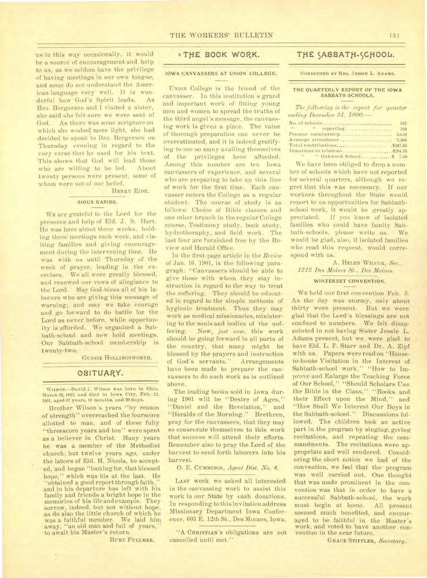us in this way occasionally, it would be a source of encouragement and help to us, as we seldom have the privilege of having meetings in our own tongue, and some do not understand the American language very well. It is wonderful how God's Spirit leads. As Bro. Bergersen and I visited a sister, she said she felt sure we were sent of God.. As there was some scripture on which she wished more light, she had decided to speak to Bro. Bergersen on Thursday evening in regard to the very verse that he used for his text. This shows that God will lead those<br>who are willing to be led. About who are willing to be led. twenty persons were present, some of whom were not of our belief.

#### HENRY EIDE.

## **SIOUX RAPIDS.**

WE are grateful to the Lord for the presence and help of Eld. J. S. Hart. He was here about three weeks, holding three meetings each week, and visiting families and giving encouragement during the intervening time. He was with us until Thursday of the week of prayer, leading in the exercises. We all were greatly blessed, and renewed our vows of allegiance to the Lord. May God bless all of his laborers who are giving this message of warning; and may we take courage and go forward to do battle for the Lord as never before, while opportunity is afforded. We organized a Sabbath-school and now hold meetings. Our Sabbath-school membership is twenty-two.

GUSSIE HOLLINGSWORTH.

## OBITUARY.

WILsow.—David 3. Wilson was born in Ohio, March 22, 1813, and died in Iowa City, Feb. 12. 1901, aged 87 years, 10 months, and 20 days.

Brother Wilson's years "by reason of strength" overreached the fourscore allotted to man, and of these fully "threescore years and ten" were spent as a believer in Christ. Many years he was a member of the Methodist church; but twelve years ago, under the labors of Eld. H. Nicola, he accepted, and began "looking for, that blessed hope," which was his at the last. He "obtained a good report through faith," and in his departure has left with his family and friends a bright hope in the memories of his life and example. They sorrow, indeed, but not without hope, as do also the little church of which he<br>was a faithful member. We laid him was a faithful member. away, "an old man and full of years," to await his Master's return.

BURT FULLMER.

# **\*TfiE BOOK WORK.**

## **IOWA CANVASSERS AT UNION COLLEGE.**

UNION College is the friend of the canvasser. In this institution's grand and important work of fitting young men and women to spread the truths of the third angel's message, the canvassing work is given a place. The value of thorough preparation can never be overestimated, and it is indeed gratifying to see so many availing themselves of the privileges here afforded. Among this number are ten Iowa canvassers of experience, and several who are preparing to take up this line of work for the first time. Each canvasser enters the College as a regular student. The course of study is as follows: Choice of Bible classes and one other branch in the regular College course, Testimony study, book study, hydrotheraphy, and field work. The last four are furnished free by the Review and Herald Office.

In the first-page article in the *Review*  of Jan. 16, 1901, is the following paragraph: "Canvassers should be able to give those with whom they stay instruction in regard to the way to treat the suffering. They should be educated in regard to the simple methods of hygienic treatment. Thus they may work as medical missionaries, ministering to the souls and bodies of the suffering. Now, *just now*, this work should be going forward in all parts of the country, that many might be blessed by the prayers and instruction of God's servants." Arrangements have been made to prepare the canvassers to do such work as is outlined above.

The leading books sold in Iowa during 1901 will be "Desire of Ages," "Daniel and the Revelation," and "Heralds of the Morning." Brethren, pray for the canvassers, that they may so consecrate themselves to this work that success will attend their efforts. Remember also to pray the Lord of the harvest to send forth laborers into his harvest.

0. E. CUMMINGS, *Agent Dist. No.* 4.

LAST week we asked all interested in the canvassing work to assist this work in our State by cash donations. In responding to this invitation address Missionary Department Iowa Conference, 603 E. 12th St., Des Moines, Iowa.

"A CHRISTIAN'S Obligations are not cancelled until met."

# THE **SABBATH-SCHOOL.**

**CONDUCTED BY MRS. JESSIE L. ADAMS.** 

### **THE QUARTERLY REPORT OF THE IOWA SABBATH-SCHOOLS.**

*The following is the report for quarter ending December 31, 1900:—* 

|                     | 182   |
|---------------------|-------|
| $-1$<br>" reporting | 169   |
|                     | 3.016 |
|                     | 2,368 |
|                     |       |
|                     |       |
|                     |       |

We have been obliged to drop a number of schools which have not reported for several quarters, although we regret that this was necessary. If our workers throughout the State would report to us opportunities for Sabbathschool work, it would be greatly appreciated. If you know of isolated families who could have family Sabbath-schools, please write us. We would be glad, also, if isolated families who read this request, would correspond with us.

## A. HELEN WILCOX, *Sec., 1212 Des Moines St., Des Moines.*

#### **WINTERSET CONVENTION.**

WE held our first convention Feb. 3. As the day was stormy, only about thirty were present. But we were glad that the Lord's blessings are not confined to numbers. We felt disappointed in not having Sister Jessie L. Adams present, but we were glad to have Eld. L. F. Starr and Dr. A. Zipf with us. Papers were read on "Houseto-house Visitation in the Interest of Sabbath-school work," "How to Improve and Enlarge the Teaching Force of Our School," "Should Scholars Use the Bible in the Class," "Books and their Effect upon the Mind," and "How Shall We Interest Our Boys in the Sabbath-school." Discussions followed. The children took an active part in the program by singing, giving recitations, and repeating the commandments. The recitations were appropriate and well rendered. Considering the short notice we had of the convention, we feel that the program was well carried out. One thought that was made prominent in the convention was that in order to have a successful Sabbath-school, the work<br>must begin at home. All present must begin at home. seemed much benefited, and encouraged to be faithful in the Master's work, and voted to have another convention in the near future.

GRACE STIFFLER, *SeCrefary.*